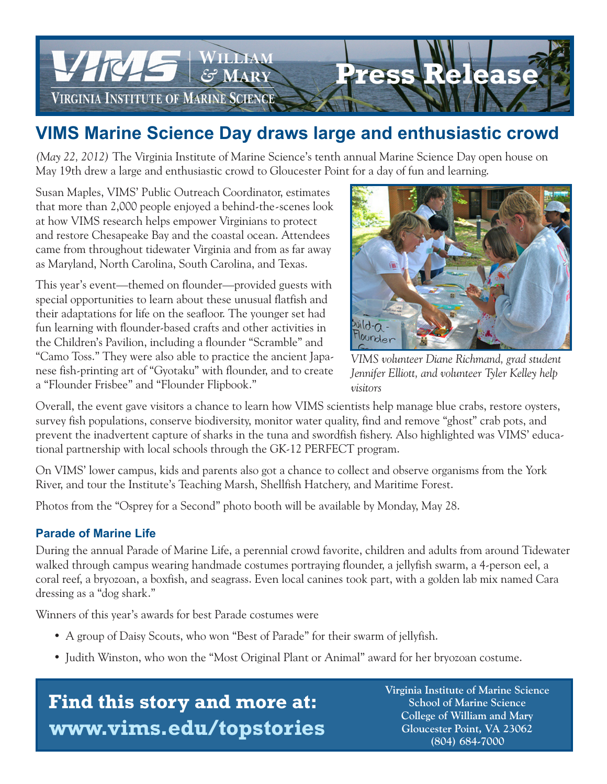

## **VIMS Marine Science Day draws large and enthusiastic crowd**

*(May 22, 2012)* The Virginia Institute of Marine Science's tenth annual Marine Science Day open house on May 19th drew a large and enthusiastic crowd to Gloucester Point for a day of fun and learning.

Susan Maples, VIMS' Public Outreach Coordinator, estimates that more than 2,000 people enjoyed a behind-the-scenes look at how VIMS research helps empower Virginians to protect and restore Chesapeake Bay and the coastal ocean. Attendees came from throughout tidewater Virginia and from as far away as Maryland, North Carolina, South Carolina, and Texas.

This year's event—themed on flounder—provided guests with special opportunities to learn about these unusual flatfish and their adaptations for life on the seafloor. The younger set had fun learning with flounder-based crafts and other activities in the Children's Pavilion, including a flounder "Scramble" and "Camo Toss." They were also able to practice the ancient Japanese fish-printing art of "Gyotaku" with flounder, and to create a "Flounder Frisbee" and "Flounder Flipbook."



*VIMS volunteer Diane Richmand, grad student Jennifer Elliott, and volunteer Tyler Kelley help visitors*

Overall, the event gave visitors a chance to learn how VIMS scientists help manage blue crabs, restore oysters, survey fish populations, conserve biodiversity, monitor water quality, find and remove "ghost" crab pots, and prevent the inadvertent capture of sharks in the tuna and swordfish fishery. Also highlighted was VIMS' educational partnership with local schools through the GK-12 PERFECT program.

On VIMS' lower campus, kids and parents also got a chance to collect and observe organisms from the York River, and tour the Institute's Teaching Marsh, Shellfish Hatchery, and Maritime Forest.

Photos from the "Osprey for a Second" photo booth will be available by Monday, May 28.

### **Parade of Marine Life**

During the annual Parade of Marine Life, a perennial crowd favorite, children and adults from around Tidewater walked through campus wearing handmade costumes portraying flounder, a jellyfish swarm, a 4-person eel, a coral reef, a bryozoan, a boxfish, and seagrass. Even local canines took part, with a golden lab mix named Cara dressing as a "dog shark."

Winners of this year's awards for best Parade costumes were

- A group of Daisy Scouts, who won "Best of Parade" for their swarm of jellyfish.
- Judith Winston, who won the "Most Original Plant or Animal" award for her bryozoan costume.

# **Find this story and more at: www.vims.edu/topstories**

 **Virginia Institute of Marine Science School of Marine Science College of William and Mary Gloucester Point, VA 23062 (804) 684-7000**